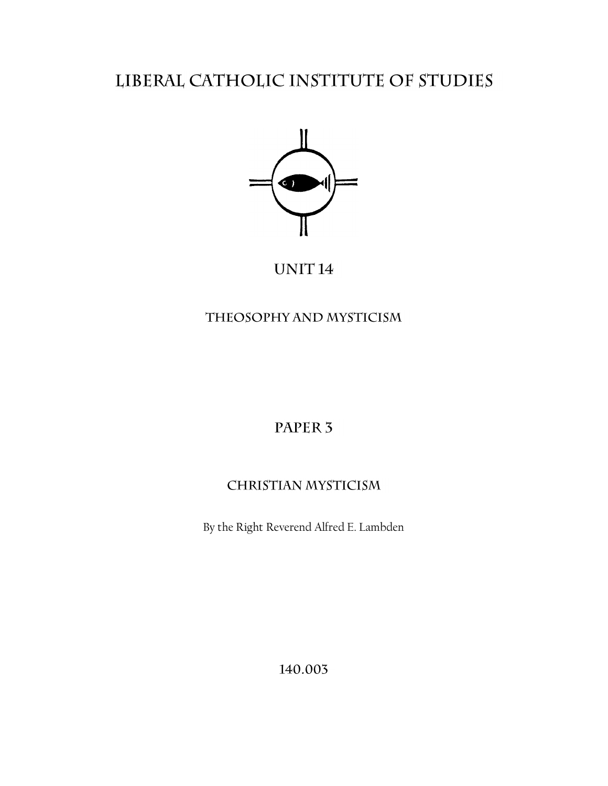# LIBERAL CATHOLIC INSTITUTE OF STUDIES



# UNIT<sub>14</sub>

# THEOSOPHY AND MYSTICISM

# PAPER<sub>3</sub>

# **CHRISTIAN MYSTICISM**

By the Right Reverend Alfred E. Lambden

140.003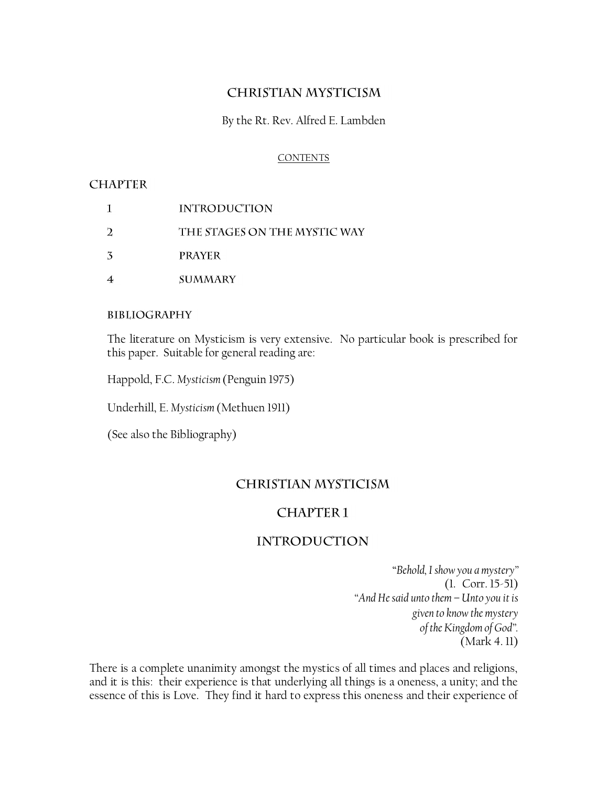# **CHRISTIAN MYSTICISM**

By the Rt. Rev. Alfred E. Lambden

### **CONTENTS**

### **CHAPTER**

- $\mathbf{1}$ **INTRODUCTION**  $\overline{2}$ THE STAGES ON THE MYSTIC WAY  $\overline{3}$ **PRAYER**
- $\overline{4}$ **SUMMARY**

### **BIBLIOGRAPHY**

The literature on Mysticism is very extensive. No particular book is prescribed for this paper. Suitable for general reading are:

Happold, F.C. *Mysticism* (Penguin 1975)

Underhill, E. *Mysticism* (Methuen 1911)

(See also the Bibliography)

### **CHRISTIAN MYSTICISM**

## **CHAPTER1**

## **INTRODUCTION**

"*Behold, I show you a mystery"* (1. Corr. 15-51) *"And He said unto them – Unto you it is given to know the mystery of the Kingdom of God".* (Mark 4. 11)

There is a complete unanimity amongst the mystics of all times and places and religions, and it is this: their experience is that underlying all things is a oneness, a unity; and the essence of this is Love. They find it hard to express this oneness and their experience of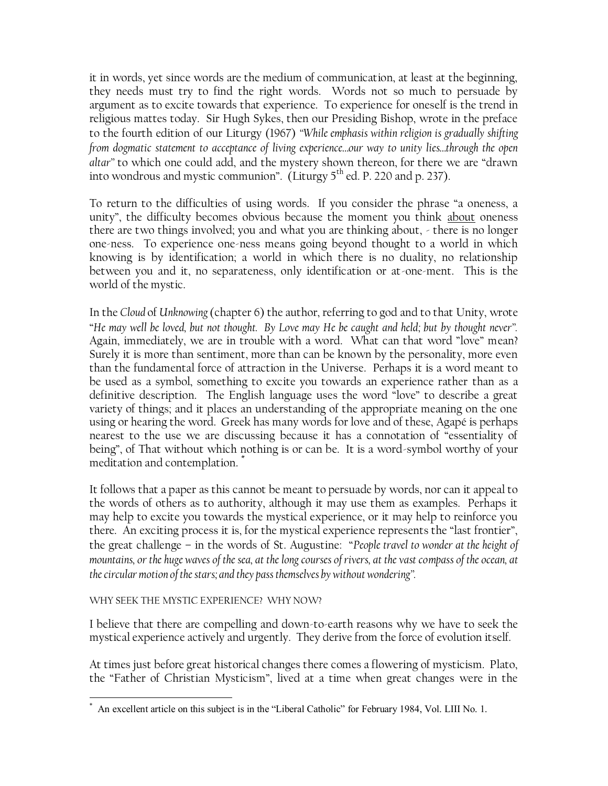it in words, yet since words are the medium of communication, at least at the beginning, they needs must try to find the right words. Words not so much to persuade by argument as to excite towards that experience. To experience for oneself is the trend in religious mattes today. Sir Hugh Sykes, then our Presiding Bishop, wrote in the preface to the fourth edition of our Liturgy (1967) *"While emphasis within religion is gradually shifting from dogmatic statement to acceptance of living experience…our way to unity lies…through the open altar"* to which one could add, and the mystery shown thereon, for there we are "drawn into wondrous and mystic communion". (Liturgy  $5<sup>th</sup>$  ed. P. 220 and p. 237).

To return to the difficulties of using words. If you consider the phrase "a oneness, a unity", the difficulty becomes obvious because the moment you think about oneness there are two things involved; you and what you are thinking about, - there is no longer one-ness. To experience one-ness means going beyond thought to a world in which knowing is by identification; a world in which there is no duality, no relationship between you and it, no separateness, only identification or at-one-ment. This is the world of the mystic.

In the *Cloud* of *Unknowing* (chapter 6) the author, referring to god and to that Unity, wrote "*He may well be loved, but not thought. By Love may He be caught and held; but by thought never".*  Again, immediately, we are in trouble with a word. What can that word "love" mean? Surely it is more than sentiment, more than can be known by the personality, more even than the fundamental force of attraction in the Universe. Perhaps it is a word meant to be used as a symbol, something to excite you towards an experience rather than as a definitive description. The English language uses the word "love" to describe a great variety of things; and it places an understanding of the appropriate meaning on the one using or hearing the word. Greek has many words for love and of these, Agapé is perhaps nearest to the use we are discussing because it has a connotation of "essentiality of being", of That without which nothing is or can be. It is a word-symbol worthy of your meditation and contemplation. \*

It follows that a paper as this cannot be meant to persuade by words, nor can it appeal to the words of others as to authority, although it may use them as examples. Perhaps it may help to excite you towards the mystical experience, or it may help to reinforce you there. An exciting process it is, for the mystical experience represents the "last frontier", the great challenge – in the words of St. Augustine: "*People travel to wonder at the height of mountains, or the huge waves of the sea, at the long courses of rivers, at the vast compass of the ocean, at the circular motion of the stars; and they pass themselves by without wondering".*

### WHY SEEK THE MYSTIC EXPERIENCE? WHY NOW?

I believe that there are compelling and down-to-earth reasons why we have to seek the mystical experience actively and urgently. They derive from the force of evolution itself.

At times just before great historical changes there comes a flowering of mysticism. Plato, the "Father of Christian Mysticism", lived at a time when great changes were in the

 $\overline{a}$ \* An excellent article on this subject is in the "Liberal Catholic" for February 1984, Vol. LIII No. 1.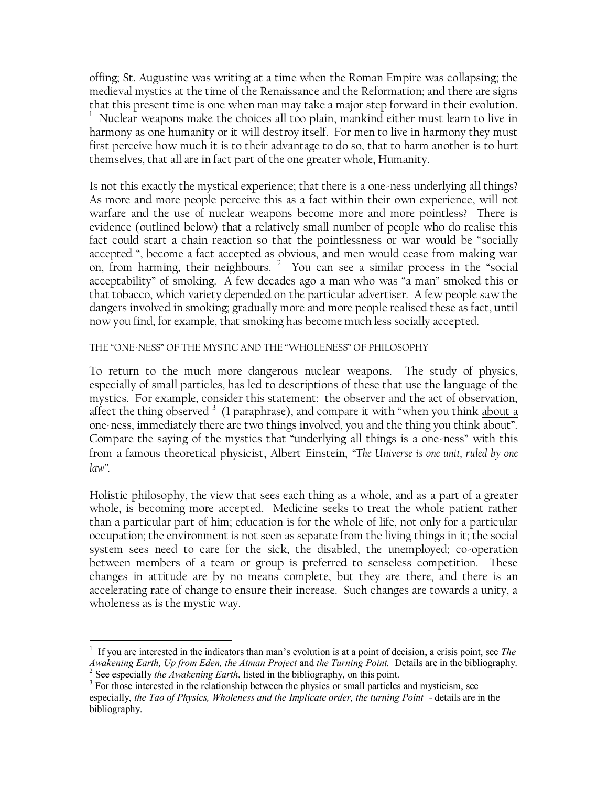offing; St. Augustine was writing at a time when the Roman Empire was collapsing; the medieval mystics at the time of the Renaissance and the Reformation; and there are signs that this present time is one when man may take a major step forward in their evolution.  $1$  Nuclear weapons make the choices all too plain, mankind either must learn to live in harmony as one humanity or it will destroy itself. For men to live in harmony they must first perceive how much it is to their advantage to do so, that to harm another is to hurt themselves, that all are in fact part of the one greater whole, Humanity.

Is not this exactly the mystical experience; that there is a one-ness underlying all things? As more and more people perceive this as a fact within their own experience, will not warfare and the use of nuclear weapons become more and more pointless? There is evidence (outlined below) that a relatively small number of people who do realise this fact could start a chain reaction so that the pointlessness or war would be "socially accepted ", become a fact accepted as obvious, and men would cease from making war on, from harming, their neighbours.  $2$  You can see a similar process in the "social acceptability" of smoking. A few decades ago a man who was "a man" smoked this or that tobacco, which variety depended on the particular advertiser. A few people saw the dangers involved in smoking; gradually more and more people realised these as fact, until now you find, for example, that smoking has become much less socially accepted.

#### THE "ONE-NESS" OF THE MYSTIC AND THE "WHOLENESS" OF PHILOSOPHY

To return to the much more dangerous nuclear weapons. The study of physics, especially of small particles, has led to descriptions of these that use the language of the mystics. For example, consider this statement: the observer and the act of observation, affect the thing observed <sup>3</sup> (1 paraphrase), and compare it with "when you think <u>about a</u> one-ness, immediately there are two things involved, you and the thing you think about". Compare the saying of the mystics that "underlying all things is a one-ness" with this from a famous theoretical physicist, Albert Einstein, *"The Universe is one unit, ruled by one law".*

Holistic philosophy, the view that sees each thing as a whole, and as a part of a greater whole, is becoming more accepted. Medicine seeks to treat the whole patient rather than a particular part of him; education is for the whole of life, not only for a particular occupation; the environment is not seen as separate from the living things in it; the social system sees need to care for the sick, the disabled, the unemployed; co-operation between members of a team or group is preferred to senseless competition. These changes in attitude are by no means complete, but they are there, and there is an accelerating rate of change to ensure their increase. Such changes are towards a unity, a wholeness as is the mystic way.

<sup>1</sup> If you are interested in the indicators than man's evolution is at a point of decision, a crisis point, see *The Awakening Earth, Up from Eden, the Atman Project* and *the Turning Point.* Details are in the bibliography. <sup>2</sup> See especially *the Awakening Earth*, listed in the bibliography, on this point.

 $3$  For those interested in the relationship between the physics or small particles and mysticism, see

especially, *the Tao of Physics, Wholeness and the Implicate order, the turning Point* - details are in the bibliography.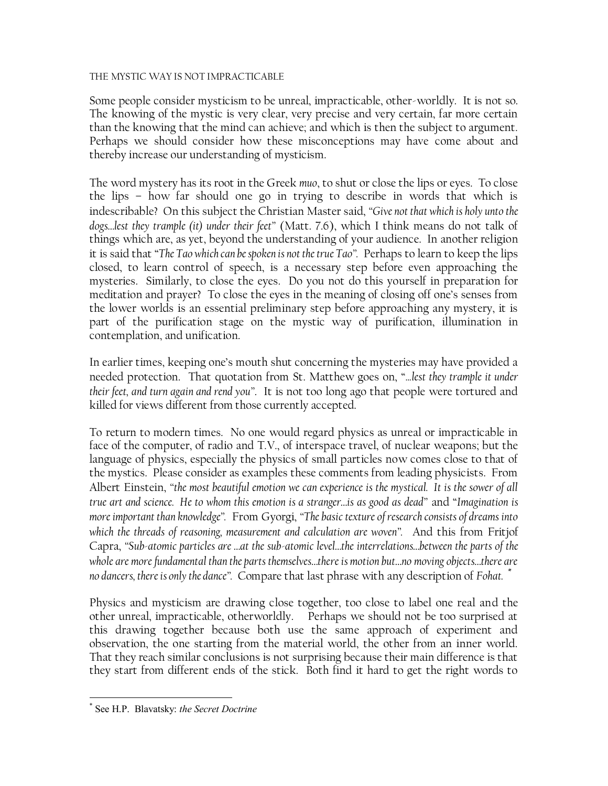#### THE MYSTIC WAY IS NOT IMPRACTICABLE

Some people consider mysticism to be unreal, impracticable, other-worldly. It is not so. The knowing of the mystic is very clear, very precise and very certain, far more certain than the knowing that the mind can achieve; and which is then the subject to argument. Perhaps we should consider how these misconceptions may have come about and thereby increase our understanding of mysticism.

The word mystery has its root in the Greek *muo*, to shut or close the lips or eyes. To close the lips – how far should one go in trying to describe in words that which is indescribable? On this subject the Christian Master said, *"Give not that which is holy unto the dogs…lest they trample (it) under their feet"* (Matt. 7.6), which I think means do not talk of things which are, as yet, beyond the understanding of your audience. In another religion it is said that "*The Tao which can be spoken is not the true Tao".* Perhaps to learn to keep the lips closed, to learn control of speech, is a necessary step before even approaching the mysteries. Similarly, to close the eyes. Do you not do this yourself in preparation for meditation and prayer? To close the eyes in the meaning of closing off one's senses from the lower worlds is an essential preliminary step before approaching any mystery, it is part of the purification stage on the mystic way of purification, illumination in contemplation, and unification.

In earlier times, keeping one's mouth shut concerning the mysteries may have provided a needed protection. That quotation from St. Matthew goes on, "*...lest they trample it under their feet, and turn again and rend you"*. It is not too long ago that people were tortured and killed for views different from those currently accepted.

To return to modern times. No one would regard physics as unreal or impracticable in face of the computer, of radio and T.V., of interspace travel, of nuclear weapons; but the language of physics, especially the physics of small particles now comes close to that of the mystics. Please consider as examples these comments from leading physicists. From Albert Einstein, *"the most beautiful emotion we can experience is the mystical. It is the sower of all true art and science. He to whom this emotion is a stranger…is as good as dead"* and "*Imagination is more important than knowledge".* From Gyorgi, *"The basic texture of research consists of dreams into which the threads of reasoning, measurement and calculation are woven".* And this from Fritjof Capra, *"Sub-atomic particles are …at the sub-atomic level…the interrelations…between the parts of the whole are more fundamental than the parts themselves…there is motion but…no moving objects…there are no dancers, there is only the dance".* Compare that last phrase with any description of *Fohat.* \*

Physics and mysticism are drawing close together, too close to label one real and the other unreal, impracticable, otherworldly. Perhaps we should not be too surprised at this drawing together because both use the same approach of experiment and observation, the one starting from the material world, the other from an inner world. That they reach similar conclusions is not surprising because their main difference is that they start from different ends of the stick. Both find it hard to get the right words to

<sup>\*</sup> See H.P. Blavatsky: *the Secret Doctrine*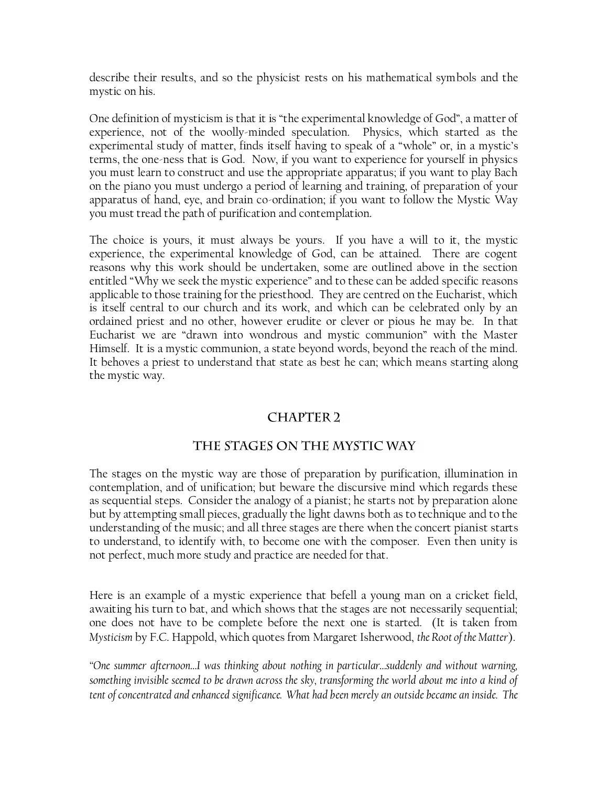describe their results, and so the physicist rests on his mathematical symbols and the mystic on his.

One definition of mysticism is that it is "the experimental knowledge of God", a matter of experience, not of the woolly-minded speculation. Physics, which started as the experimental study of matter, finds itself having to speak of a "whole" or, in a mystic's terms, the one-ness that is God. Now, if you want to experience for yourself in physics you must learn to construct and use the appropriate apparatus; if you want to play Bach on the piano you must undergo a period of learning and training, of preparation of your apparatus of hand, eye, and brain co-ordination; if you want to follow the Mystic Way you must tread the path of purification and contemplation.

The choice is yours, it must always be yours. If you have a will to it, the mystic experience, the experimental knowledge of God, can be attained. There are cogent reasons why this work should be undertaken, some are outlined above in the section entitled "Why we seek the mystic experience" and to these can be added specific reasons applicable to those training for the priesthood. They are centred on the Eucharist, which is itself central to our church and its work, and which can be celebrated only by an ordained priest and no other, however erudite or clever or pious he may be. In that Eucharist we are "drawn into wondrous and mystic communion" with the Master Himself. It is a mystic communion, a state beyond words, beyond the reach of the mind. It behoves a priest to understand that state as best he can; which means starting along the mystic way.

# **CHAPTER 2**

# THE STAGES ON THE MYSTIC WAY

The stages on the mystic way are those of preparation by purification, illumination in contemplation, and of unification; but beware the discursive mind which regards these as sequential steps. Consider the analogy of a pianist; he starts not by preparation alone but by attempting small pieces, gradually the light dawns both as to technique and to the understanding of the music; and all three stages are there when the concert pianist starts to understand, to identify with, to become one with the composer. Even then unity is not perfect, much more study and practice are needed for that.

Here is an example of a mystic experience that befell a young man on a cricket field, awaiting his turn to bat, and which shows that the stages are not necessarily sequential; one does not have to be complete before the next one is started. (It is taken from *Mysticism* by F.C. Happold, which quotes from Margaret Isherwood, *the Root of the Matter*).

*"One summer afternoon…I was thinking about nothing in particular…suddenly and without warning, something invisible seemed to be drawn across the sky, transforming the world about me into a kind of tent of concentrated and enhanced significance. What had been merely an outside became an inside. The*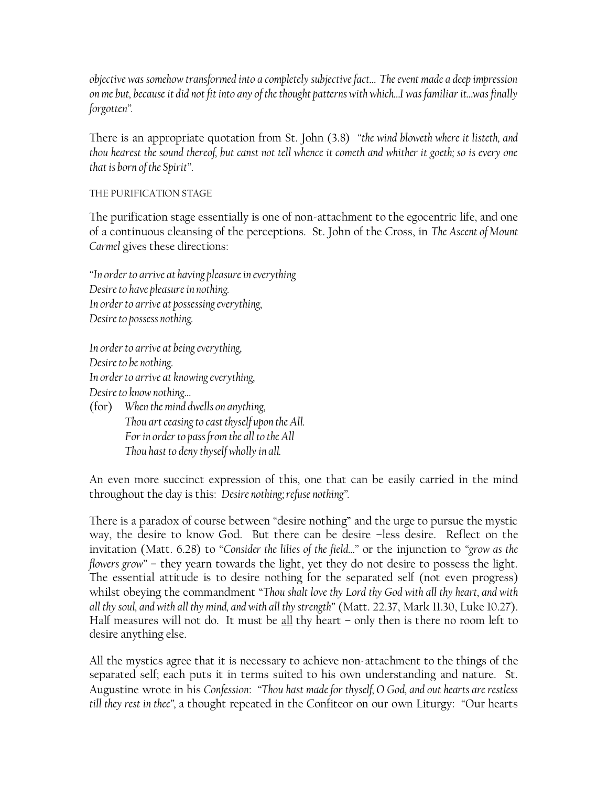*objective was somehow transformed into a completely subjective fact… The event made a deep impression on me but, because it did not fit into any of the thought patterns with which…I was familiar it…was finally forgotten".*

There is an appropriate quotation from St. John (3.8) *"the wind bloweth where it listeth, and thou hearest the sound thereof, but canst not tell whence it cometh and whither it goeth; so is every one that is born of the Spirit"*.

### THE PURIFICATION STAGE

The purification stage essentially is one of non-attachment to the egocentric life, and one of a continuous cleansing of the perceptions. St. John of the Cross, in *The Ascent of Mount Carmel* gives these directions:

*"In order to arrive at having pleasure in everything Desire to have pleasure in nothing. In order to arrive at possessing everything, Desire to possess nothing.*

*In order to arrive at being everything, Desire to be nothing. In order to arrive at knowing everything, Desire to know nothing…*

(for) *When the mind dwells on anything, Thou art ceasing to cast thyself upon the All. For in order to pass from the all to the All Thou hast to deny thyself wholly in all.*

An even more succinct expression of this, one that can be easily carried in the mind throughout the day is this: *Desire nothing; refuse nothing".*

There is a paradox of course between "desire nothing" and the urge to pursue the mystic way, the desire to know God. But there can be desire –less desire. Reflect on the invitation (Matt. 6.28) to "*Consider the lilies of the field…"* or the injunction to *"grow as the flowers grow"* – they yearn towards the light, yet they do not desire to possess the light. The essential attitude is to desire nothing for the separated self (not even progress) whilst obeying the commandment "*Thou shalt love thy Lord thy God with all thy heart, and with all thy soul, and with all thy mind, and with all thy strength"* (Matt. 22.37, Mark 11.30, Luke 10.27). Half measures will not do. It must be  $\underline{\text{all}}$  thy heart – only then is there no room left to desire anything else.

All the mystics agree that it is necessary to achieve non-attachment to the things of the separated self; each puts it in terms suited to his own understanding and nature. St. Augustine wrote in his *Confession*: *"Thou hast made for thyself, O God, and out hearts are restless till they rest in thee",* a thought repeated in the Confiteor on our own Liturgy: "Our hearts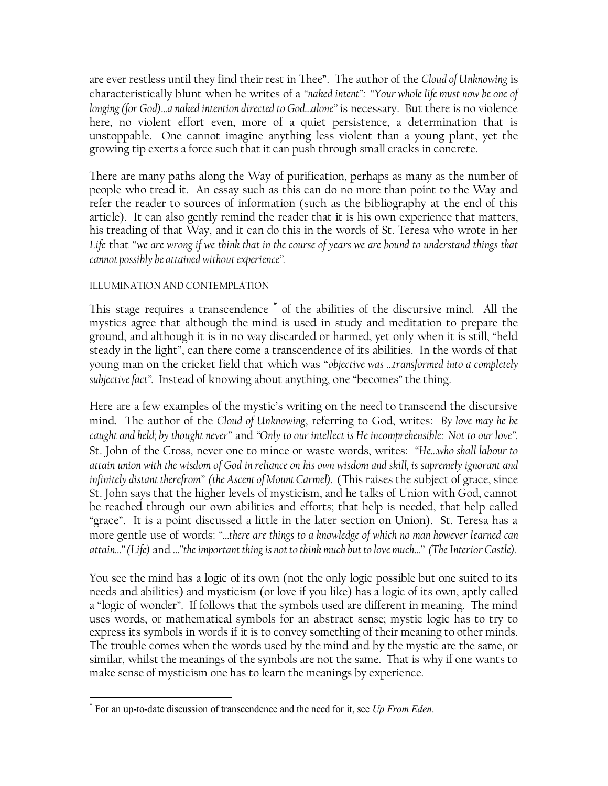are ever restless until they find their rest in Thee". The author of the *Cloud of Unknowing* is characteristically blunt when he writes of a *"naked intent": "Your whole life must now be one of longing (for God)…a naked intention directed to God…alone"* is necessary. But there is no violence here, no violent effort even, more of a quiet persistence, a determination that is unstoppable. One cannot imagine anything less violent than a young plant, yet the growing tip exerts a force such that it can push through small cracks in concrete.

There are many paths along the Way of purification, perhaps as many as the number of people who tread it. An essay such as this can do no more than point to the Way and refer the reader to sources of information (such as the bibliography at the end of this article). It can also gently remind the reader that it is his own experience that matters, his treading of that Way, and it can do this in the words of St. Teresa who wrote in her *Life* that "*we are wrong if we think that in the course of years we are bound to understand things that cannot possibly be attained without experience".*

### ILLUMINATION AND CONTEMPLATION

This stage requires a transcendence \* of the abilities of the discursive mind. All the mystics agree that although the mind is used in study and meditation to prepare the ground, and although it is in no way discarded or harmed, yet only when it is still, "held steady in the light", can there come a transcendence of its abilities. In the words of that young man on the cricket field that which was "*objective was …transformed into a completely subjective fact".* Instead of knowing about anything, one "becomes" the thing.

Here are a few examples of the mystic's writing on the need to transcend the discursive mind. The author of the *Cloud of Unknowing*, referring to God, writes: *By love may he be caught and held; by thought never"* and *"Only to our intellect is He incomprehensible: Not to our love".*  St. John of the Cross, never one to mince or waste words, writes: *"He…who shall labour to attain union with the wisdom of God in reliance on his own wisdom and skill, is supremely ignorant and infinitely distant therefrom" (the Ascent of Mount Carmel).* (This raises the subject of grace, since St. John says that the higher levels of mysticism, and he talks of Union with God, cannot be reached through our own abilities and efforts; that help is needed, that help called "grace". It is a point discussed a little in the later section on Union). St. Teresa has a more gentle use of words: *"…there are things to a knowledge of which no man however learned can attain…" (Life)* and *…"the important thing is not to think much but to love much…" (The Interior Castle).*

You see the mind has a logic of its own (not the only logic possible but one suited to its needs and abilities) and mysticism (or love if you like) has a logic of its own, aptly called a "logic of wonder". If follows that the symbols used are different in meaning. The mind uses words, or mathematical symbols for an abstract sense; mystic logic has to try to express its symbols in words if it is to convey something of their meaning to other minds. The trouble comes when the words used by the mind and by the mystic are the same, or similar, whilst the meanings of the symbols are not the same. That is why if one wants to make sense of mysticism one has to learn the meanings by experience.

 \* For an up-to-date discussion of transcendence and the need for it, see *Up From Eden*.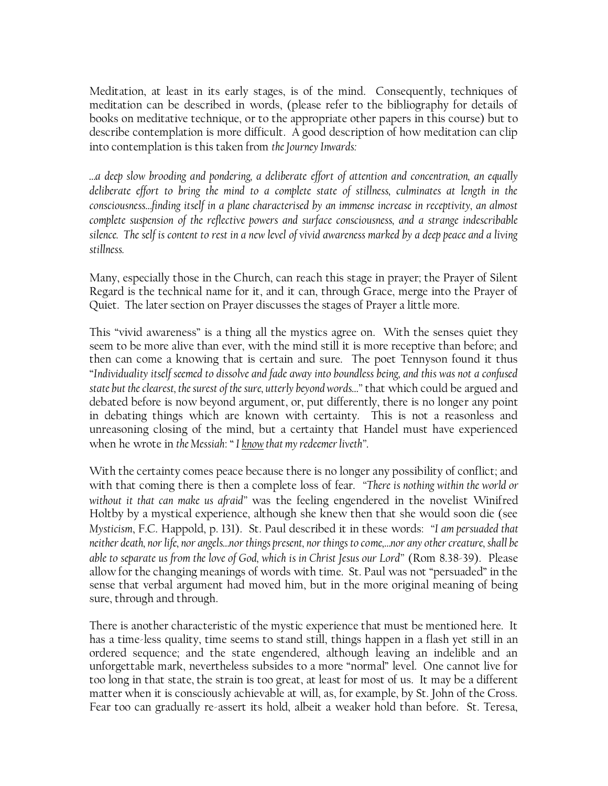Meditation, at least in its early stages, is of the mind. Consequently, techniques of meditation can be described in words, (please refer to the bibliography for details of books on meditative technique, or to the appropriate other papers in this course) but to describe contemplation is more difficult. A good description of how meditation can clip into contemplation is this taken from *the Journey Inwards:*

*…a deep slow brooding and pondering, a deliberate effort of attention and concentration, an equally*  deliberate effort to bring the mind to a complete state of stillness, culminates at length in the *consciousness…finding itself in a plane characterised by an immense increase in receptivity, an almost complete suspension of the reflective powers and surface consciousness, and a strange indescribable silence. The self is content to rest in a new level of vivid awareness marked by a deep peace and a living stillness.*

Many, especially those in the Church, can reach this stage in prayer; the Prayer of Silent Regard is the technical name for it, and it can, through Grace, merge into the Prayer of Quiet. The later section on Prayer discusses the stages of Prayer a little more.

This "vivid awareness" is a thing all the mystics agree on. With the senses quiet they seem to be more alive than ever, with the mind still it is more receptive than before; and then can come a knowing that is certain and sure. The poet Tennyson found it thus "*Individuality itself seemed to dissolve and fade away into boundless being, and this was not a confused state but the clearest, the surest of the sure, utterly beyond words…"* that which could be argued and debated before is now beyond argument, or, put differently, there is no longer any point in debating things which are known with certainty. This is not a reasonless and unreasoning closing of the mind, but a certainty that Handel must have experienced when he wrote in *the Messiah*: " *I know that my redeemer liveth"*.

With the certainty comes peace because there is no longer any possibility of conflict; and with that coming there is then a complete loss of fear. *"There is nothing within the world or without it that can make us afraid"* was the feeling engendered in the novelist Winifred Holtby by a mystical experience, although she knew then that she would soon die (see *Mysticism*, F.C. Happold, p. 131). St. Paul described it in these words: *"I am persuaded that neither death, nor life, nor angels…nor things present, nor things to come,…nor any other creature, shall be able to separate us from the love of God, which is in Christ Jesus our Lord"* (Rom 8.38-39). Please allow for the changing meanings of words with time. St. Paul was not "persuaded" in the sense that verbal argument had moved him, but in the more original meaning of being sure, through and through.

There is another characteristic of the mystic experience that must be mentioned here. It has a time-less quality, time seems to stand still, things happen in a flash yet still in an ordered sequence; and the state engendered, although leaving an indelible and an unforgettable mark, nevertheless subsides to a more "normal" level. One cannot live for too long in that state, the strain is too great, at least for most of us. It may be a different matter when it is consciously achievable at will, as, for example, by St. John of the Cross. Fear too can gradually re-assert its hold, albeit a weaker hold than before. St. Teresa,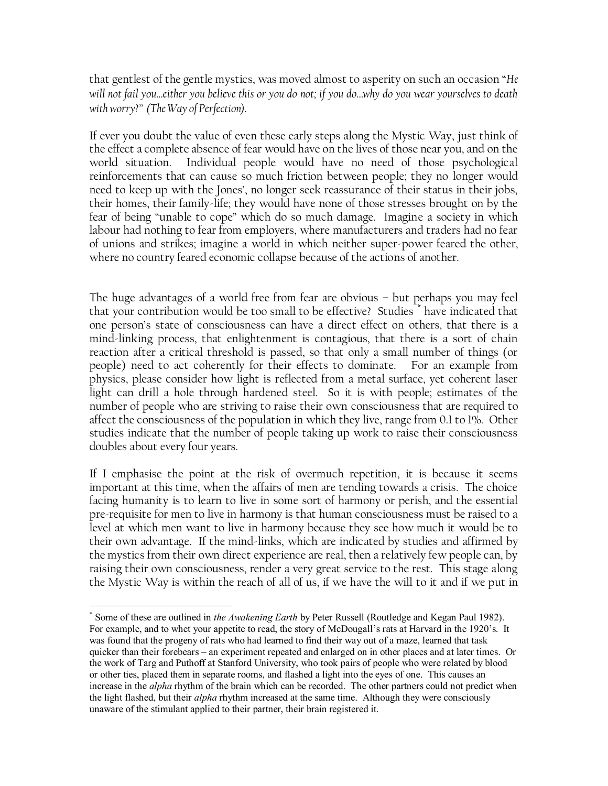that gentlest of the gentle mystics, was moved almost to asperity on such an occasion "*He will not fail you…either you believe this or you do not; if you do…why do you wear yourselves to death with worry?" (The Way of Perfection).*

If ever you doubt the value of even these early steps along the Mystic Way, just think of the effect a complete absence of fear would have on the lives of those near you, and on the world situation. Individual people would have no need of those psychological reinforcements that can cause so much friction between people; they no longer would need to keep up with the Jones', no longer seek reassurance of their status in their jobs, their homes, their family-life; they would have none of those stresses brought on by the fear of being "unable to cope" which do so much damage. Imagine a society in which labour had nothing to fear from employers, where manufacturers and traders had no fear of unions and strikes; imagine a world in which neither super-power feared the other, where no country feared economic collapse because of the actions of another.

The huge advantages of a world free from fear are obvious – but perhaps you may feel that your contribution would be too small to be effective? Studies \* have indicated that one person's state of consciousness can have a direct effect on others, that there is a mind-linking process, that enlightenment is contagious, that there is a sort of chain reaction after a critical threshold is passed, so that only a small number of things (or people) need to act coherently for their effects to dominate. For an example from physics, please consider how light is reflected from a metal surface, yet coherent laser light can drill a hole through hardened steel. So it is with people; estimates of the number of people who are striving to raise their own consciousness that are required to affect the consciousness of the population in which they live, range from 0.1 to 1%. Other studies indicate that the number of people taking up work to raise their consciousness doubles about every four years.

If I emphasise the point at the risk of overmuch repetition, it is because it seems important at this time, when the affairs of men are tending towards a crisis. The choice facing humanity is to learn to live in some sort of harmony or perish, and the essential pre-requisite for men to live in harmony is that human consciousness must be raised to a level at which men want to live in harmony because they see how much it would be to their own advantage. If the mind-links, which are indicated by studies and affirmed by the mystics from their own direct experience are real, then a relatively few people can, by raising their own consciousness, render a very great service to the rest. This stage along the Mystic Way is within the reach of all of us, if we have the will to it and if we put in

<sup>\*</sup> Some of these are outlined in *the Awakening Earth* by Peter Russell (Routledge and Kegan Paul 1982). For example, and to whet your appetite to read, the story of McDougall's rats at Harvard in the 1920's. It was found that the progeny of rats who had learned to find their way out of a maze, learned that task quicker than their forebears – an experiment repeated and enlarged on in other places and at later times. Or the work of Targ and Puthoff at Stanford University, who took pairs of people who were related by blood or other ties, placed them in separate rooms, and flashed a light into the eyes of one. This causes an increase in the *alpha* rhythm of the brain which can be recorded. The other partners could not predict when the light flashed, but their *alpha* rhythm increased at the same time. Although they were consciously unaware of the stimulant applied to their partner, their brain registered it.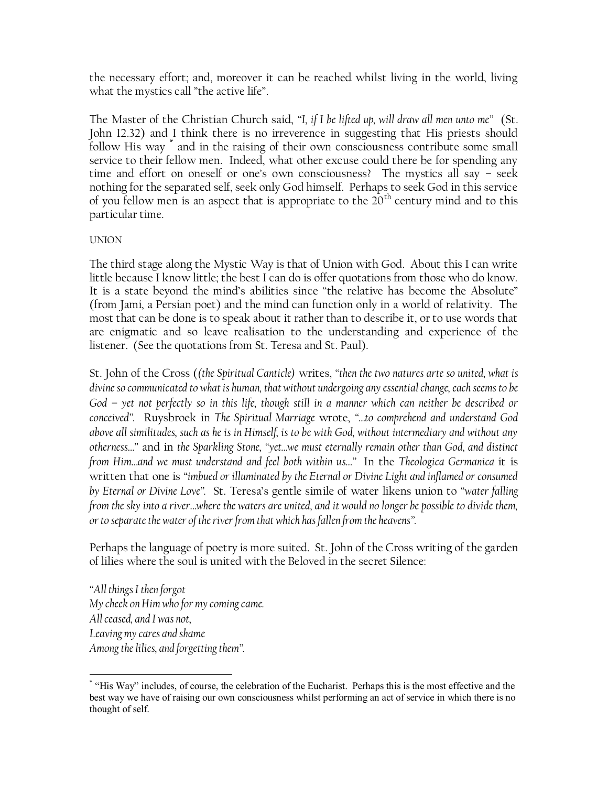the necessary effort; and, moreover it can be reached whilst living in the world, living what the mystics call "the active life".

The Master of the Christian Church said, *"I, if I be lifted up, will draw all men unto me"* (St. John 12.32) and I think there is no irreverence in suggesting that His priests should follow His way \* and in the raising of their own consciousness contribute some small service to their fellow men. Indeed, what other excuse could there be for spending any time and effort on oneself or one's own consciousness? The mystics all say – seek nothing for the separated self, seek only God himself. Perhaps to seek God in this service of you fellow men is an aspect that is appropriate to the  $20<sup>th</sup>$  century mind and to this particular time.

### UNION

The third stage along the Mystic Way is that of Union with God. About this I can write little because I know little; the best I can do is offer quotations from those who do know. It is a state beyond the mind's abilities since "the relative has become the Absolute" (from Jami, a Persian poet) and the mind can function only in a world of relativity. The most that can be done is to speak about it rather than to describe it, or to use words that are enigmatic and so leave realisation to the understanding and experience of the listener. (See the quotations from St. Teresa and St. Paul).

St. John of the Cross (*(the Spiritual Canticle)* writes, *"then the two natures arte so united, what is divine so communicated to what is human, that without undergoing any essential change, each seems to be God – yet not perfectly so in this life, though still in a manner which can neither be described or conceived".* Ruysbroek in *The Spiritual Marriage* wrote, *"…to comprehend and understand God above all similitudes, such as he is in Himself, is to be with God, without intermediary and without any otherness…"* and in *the Sparkling Stone, "yet…we must eternally remain other than God, and distinct from Him…and we must understand and feel both within us…"* In the *Theologica Germanica* it is written that one is *"imbued or illuminated by the Eternal or Divine Light and inflamed or consumed by Eternal or Divine Love".* St. Teresa's gentle simile of water likens union to *"water falling from the sky into a river…where the waters are united, and it would no longer be possible to divide them, or to separate the water of the river from that which has fallen from the heavens".*

Perhaps the language of poetry is more suited. St. John of the Cross writing of the garden of lilies where the soul is united with the Beloved in the secret Silence:

*"All things I then forgot My cheek on Him who for my coming came. All ceased, and I was not, Leaving my cares and shame Among the lilies, and forgetting them".*

<sup>\*</sup> "His Way" includes, of course, the celebration of the Eucharist. Perhaps this is the most effective and the best way we have of raising our own consciousness whilst performing an act of service in which there is no thought of self.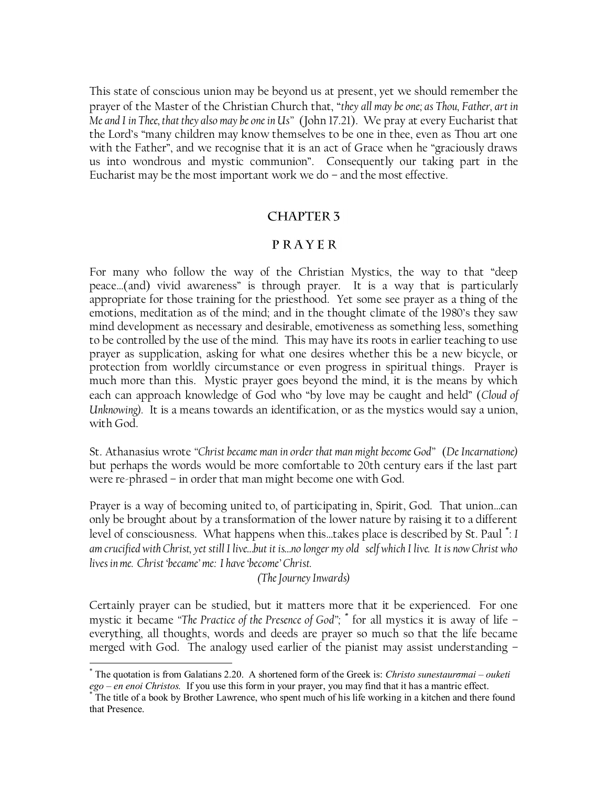This state of conscious union may be beyond us at present, yet we should remember the prayer of the Master of the Christian Church that, "*they all may be one; as Thou, Father, art in Me and I in Thee, that they also may be one in Us"* (John 17.21). We pray at every Eucharist that the Lord's "many children may know themselves to be one in thee, even as Thou art one with the Father", and we recognise that it is an act of Grace when he "graciously draws us into wondrous and mystic communion". Consequently our taking part in the Eucharist may be the most important work we do – and the most effective.

## **CHAPTER 3**

## PRAYER

For many who follow the way of the Christian Mystics, the way to that "deep peace…(and) vivid awareness" is through prayer. It is a way that is particularly appropriate for those training for the priesthood. Yet some see prayer as a thing of the emotions, meditation as of the mind; and in the thought climate of the 1980's they saw mind development as necessary and desirable, emotiveness as something less, something to be controlled by the use of the mind. This may have its roots in earlier teaching to use prayer as supplication, asking for what one desires whether this be a new bicycle, or protection from worldly circumstance or even progress in spiritual things. Prayer is much more than this. Mystic prayer goes beyond the mind, it is the means by which each can approach knowledge of God who "by love may be caught and held" (*Cloud of Unknowing).* It is a means towards an identification, or as the mystics would say a union, with God.

St. Athanasius wrote *"Christ became man in order that man might become God"* (*De Incarnatione)* but perhaps the words would be more comfortable to 20th century ears if the last part were re-phrased – in order that man might become one with God.

Prayer is a way of becoming united to, of participating in, Spirit, God. That union…can only be brought about by a transformation of the lower nature by raising it to a different level of consciousness. What happens when this…takes place is described by St. Paul \* : *I am crucified with Christ, yet still I live…but it is…no longer my old self which I live. It is now Christ who lives in me. Christ "became" me: I have "become" Christ.*

*(The Journey Inwards)*

Certainly prayer can be studied, but it matters more that it be experienced. For one mystic it became *"The Practice of the Presence of God";* \* for all mystics it is away of life – everything, all thoughts, words and deeds are prayer so much so that the life became merged with God. The analogy used earlier of the pianist may assist understanding –

<sup>\*</sup> The quotation is from Galatians 2.20. A shortened form of the Greek is: *Christo sunestaurσmai – ouketi ego – en enoi Christos.* If you use this form in your prayer, you may find that it has a mantric effect.

The title of a book by Brother Lawrence, who spent much of his life working in a kitchen and there found that Presence.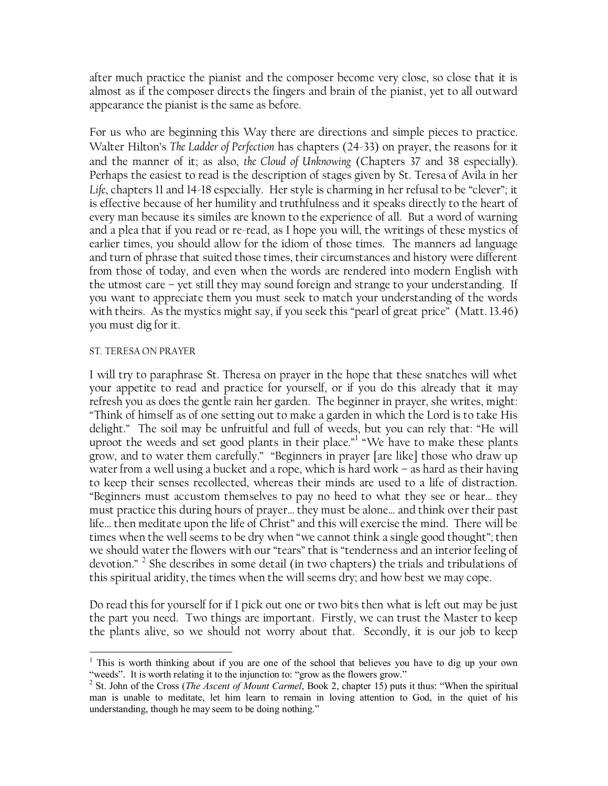after much practice the pianist and the composer become very close, so close that it is almost as if the composer directs the fingers and brain of the pianist, yet to all outward appearance the pianist is the same as before.

For us who are beginning this Way there are directions and simple pieces to practice. Walter Hilton's *The Ladder of Perfection* has chapters (24-33) on prayer, the reasons for it and the manner of it; as also, *the Cloud of Unknowing* (Chapters 37 and 38 especially). Perhaps the easiest to read is the description of stages given by St. Teresa of Avila in her *Life*, chapters 11 and 14-18 especially. Her style is charming in her refusal to be "clever"; it is effective because of her humility and truthfulness and it speaks directly to the heart of every man because its similes are known to the experience of all. But a word of warning and a plea that if you read or re-read, as I hope you will, the writings of these mystics of earlier times, you should allow for the idiom of those times. The manners ad language and turn of phrase that suited those times, their circumstances and history were different from those of today, and even when the words are rendered into modern English with the utmost care – yet still they may sound foreign and strange to your understanding. If you want to appreciate them you must seek to match your understanding of the words with theirs. As the mystics might say, if you seek this "pearl of great price" (Matt. 13.46) you must dig for it.

#### ST. TERESA ON PRAYER

I will try to paraphrase St. Theresa on prayer in the hope that these snatches will whet your appetite to read and practice for yourself, or if you do this already that it may refresh you as does the gentle rain her garden. The beginner in prayer, she writes, might: "Think of himself as of one setting out to make a garden in which the Lord is to take His delight." The soil may be unfruitful and full of weeds, but you can rely that: "He will uproot the weeds and set good plants in their place." "We have to make these plants grow, and to water them carefully." "Beginners in prayer [are like] those who draw up water from a well using a bucket and a rope, which is hard work – as hard as their having to keep their senses recollected, whereas their minds are used to a life of distraction. "Beginners must accustom themselves to pay no heed to what they see or hear… they must practice this during hours of prayer… they must be alone… and think over their past life… then meditate upon the life of Christ" and this will exercise the mind. There will be times when the well seems to be dry when "we cannot think a single good thought"; then we should water the flowers with our "tears" that is "tenderness and an interior feeling of devotion." <sup>2</sup> She describes in some detail (in two chapters) the trials and tribulations of this spiritual aridity, the times when the will seems dry; and how best we may cope.

Do read this for yourself for if I pick out one or two bits then what is left out may be just the part you need. Two things are important. Firstly, we can trust the Master to keep the plants alive, so we should not worry about that. Secondly, it is our job to keep

 $\overline{a}$ <sup>1</sup> This is worth thinking about if you are one of the school that believes you have to dig up your own "weeds". It is worth relating it to the injunction to: "grow as the flowers grow."

<sup>&</sup>lt;sup>2</sup> St. John of the Cross (*The Ascent of Mount Carmel*, Book 2, chapter 15) puts it thus: "When the spiritual man is unable to meditate, let him learn to remain in loving attention to God, in the quiet of his understanding, though he may seem to be doing nothing."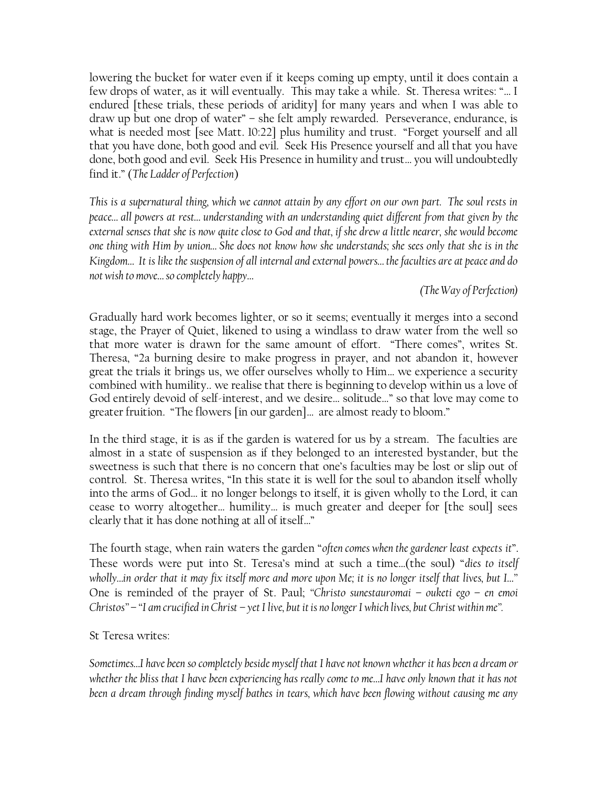lowering the bucket for water even if it keeps coming up empty, until it does contain a few drops of water, as it will eventually. This may take a while. St. Theresa writes: "… I endured [these trials, these periods of aridity] for many years and when I was able to draw up but one drop of water" – she felt amply rewarded. Perseverance, endurance, is what is needed most [see Matt. 10:22] plus humility and trust. "Forget yourself and all that you have done, both good and evil. Seek His Presence yourself and all that you have done, both good and evil. Seek His Presence in humility and trust… you will undoubtedly find it." (*The Ladder of Perfection*)

*This is a supernatural thing, which we cannot attain by any effort on our own part. The soul rests in peace… all powers at rest… understanding with an understanding quiet different from that given by the external senses that she is now quite close to God and that, if she drew a little nearer, she would become one thing with Him by union… She does not know how she understands; she sees only that she is in the Kingdom… It is like the suspension of all internal and external powers… the faculties are at peace and do not wish to move… so completely happy…*

## *(The Way of Perfection)*

Gradually hard work becomes lighter, or so it seems; eventually it merges into a second stage, the Prayer of Quiet, likened to using a windlass to draw water from the well so that more water is drawn for the same amount of effort. "There comes", writes St. Theresa, "2a burning desire to make progress in prayer, and not abandon it, however great the trials it brings us, we offer ourselves wholly to Him… we experience a security combined with humility.. we realise that there is beginning to develop within us a love of God entirely devoid of self-interest, and we desire… solitude…" so that love may come to greater fruition. "The flowers [in our garden]… are almost ready to bloom."

In the third stage, it is as if the garden is watered for us by a stream. The faculties are almost in a state of suspension as if they belonged to an interested bystander, but the sweetness is such that there is no concern that one's faculties may be lost or slip out of control. St. Theresa writes, "In this state it is well for the soul to abandon itself wholly into the arms of God… it no longer belongs to itself, it is given wholly to the Lord, it can cease to worry altogether… humility… is much greater and deeper for [the soul] sees clearly that it has done nothing at all of itself…"

The fourth stage, when rain waters the garden "*often comes when the gardener least expects it*". These words were put into St. Teresa's mind at such a time…(the soul) "*dies to itself wholly…in order that it may fix itself more and more upon Me; it is no longer itself that lives, but I…"* One is reminded of the prayer of St. Paul; *"Christo sunestauromai – ouketi ego – en emoi Christos"* – *"I am crucified in Christ – yet I live, but it is no longer I which lives, but Christ within me".*

### St Teresa writes:

*Sometimes…I have been so completely beside myself that I have not known whether it has been a dream or whether the bliss that I have been experiencing has really come to me…I have only known that it has not been a dream through finding myself bathes in tears, which have been flowing without causing me any*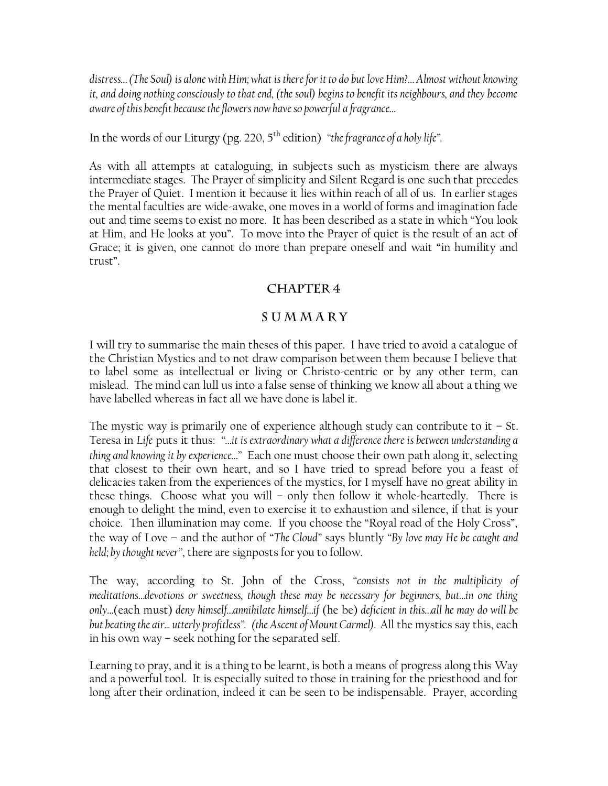*distress… (The Soul) is alone with Him; what is there for it to do but love Him?… Almost without knowing it, and doing nothing consciously to that end, (the soul) begins to benefit its neighbours, and they become aware of this benefit because the flowers now have so powerful a fragrance…*

In the words of our Liturgy (pg. 220, 5<sup>th</sup> edition) *"the fragrance of a holy life"*.

As with all attempts at cataloguing, in subjects such as mysticism there are always intermediate stages. The Prayer of simplicity and Silent Regard is one such that precedes the Prayer of Quiet. I mention it because it lies within reach of all of us. In earlier stages the mental faculties are wide-awake, one moves in a world of forms and imagination fade out and time seems to exist no more. It has been described as a state in which "You look at Him, and He looks at you". To move into the Prayer of quiet is the result of an act of Grace; it is given, one cannot do more than prepare oneself and wait "in humility and trust".

# **CHAPTER 4**

# SUMMARY

I will try to summarise the main theses of this paper. I have tried to avoid a catalogue of the Christian Mystics and to not draw comparison between them because I believe that to label some as intellectual or living or Christo-centric or by any other term, can mislead. The mind can lull us into a false sense of thinking we know all about a thing we have labelled whereas in fact all we have done is label it.

The mystic way is primarily one of experience although study can contribute to it  $-$  St. Teresa in *Life* puts it thus: *"…it is extraordinary what a difference there is between understanding a thing and knowing it by experience…"* Each one must choose their own path along it, selecting that closest to their own heart, and so I have tried to spread before you a feast of delicacies taken from the experiences of the mystics, for I myself have no great ability in these things. Choose what you will – only then follow it whole-heartedly. There is enough to delight the mind, even to exercise it to exhaustion and silence, if that is your choice. Then illumination may come. If you choose the "Royal road of the Holy Cross", the way of Love – and the author of "*The Cloud"* says bluntly *"By love may He be caught and held; by thought never"*, there are signposts for you to follow.

The way, according to St. John of the Cross, *"consists not in the multiplicity of meditations…devotions or sweetness, though these may be necessary for beginners, but…in one thing only…*(each must) *deny himself…annihilate himself…if* (he be) *deficient in this…all he may do will be but beating the air... utterly profitless". (the Ascent of Mount Carmel).* All the mystics say this, each in his own way – seek nothing for the separated self.

Learning to pray, and it is a thing to be learnt, is both a means of progress along this Way and a powerful tool. It is especially suited to those in training for the priesthood and for long after their ordination, indeed it can be seen to be indispensable. Prayer, according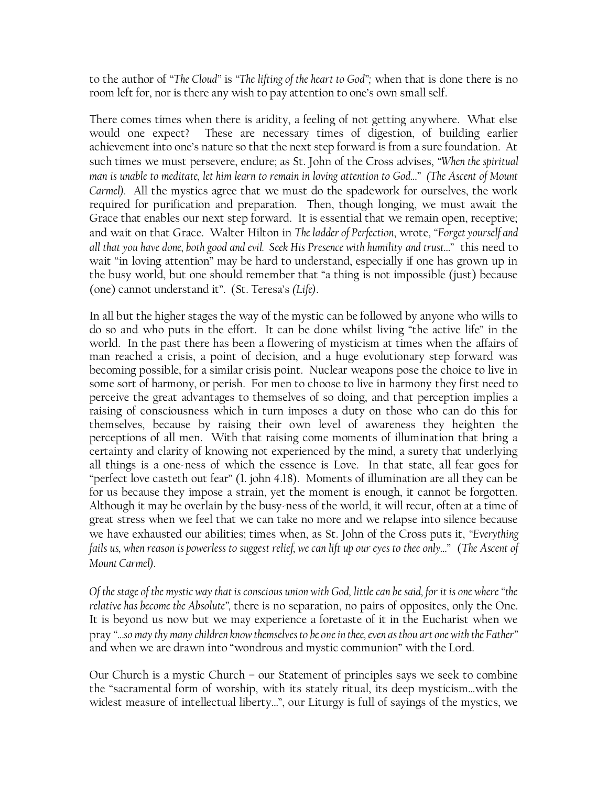to the author of "*The Cloud"* is *"The lifting of the heart to God";* when that is done there is no room left for, nor is there any wish to pay attention to one's own small self.

There comes times when there is aridity, a feeling of not getting anywhere. What else would one expect? These are necessary times of digestion, of building earlier achievement into one's nature so that the next step forward is from a sure foundation. At such times we must persevere, endure; as St. John of the Cross advises, *"When the spiritual man is unable to meditate, let him learn to remain in loving attention to God…" (The Ascent of Mount Carmel).* All the mystics agree that we must do the spadework for ourselves, the work required for purification and preparation. Then, though longing, we must await the Grace that enables our next step forward. It is essential that we remain open, receptive; and wait on that Grace. Walter Hilton in *The ladder of Perfection*, wrote, *"Forget yourself and all that you have done, both good and evil. Seek His Presence with humility and trust…"* this need to wait "in loving attention" may be hard to understand, especially if one has grown up in the busy world, but one should remember that "a thing is not impossible (just) because (one) cannot understand it". (St. Teresa's *(Life)*.

In all but the higher stages the way of the mystic can be followed by anyone who wills to do so and who puts in the effort. It can be done whilst living "the active life" in the world. In the past there has been a flowering of mysticism at times when the affairs of man reached a crisis, a point of decision, and a huge evolutionary step forward was becoming possible, for a similar crisis point. Nuclear weapons pose the choice to live in some sort of harmony, or perish. For men to choose to live in harmony they first need to perceive the great advantages to themselves of so doing, and that perception implies a raising of consciousness which in turn imposes a duty on those who can do this for themselves, because by raising their own level of awareness they heighten the perceptions of all men. With that raising come moments of illumination that bring a certainty and clarity of knowing not experienced by the mind, a surety that underlying all things is a one-ness of which the essence is Love. In that state, all fear goes for "perfect love casteth out fear" (1. john 4.18). Moments of illumination are all they can be for us because they impose a strain, yet the moment is enough, it cannot be forgotten. Although it may be overlain by the busy-ness of the world, it will recur, often at a time of great stress when we feel that we can take no more and we relapse into silence because we have exhausted our abilities; times when, as St. John of the Cross puts it, *"Everything fails us, when reason is powerless to suggest relief, we can lift up our eyes to thee only…"* (*The Ascent of Mount Carmel).*

*Of the stage of the mystic way that is conscious union with God, little can be said, for it is one where "the relative has become the Absolute",* there is no separation, no pairs of opposites, only the One. It is beyond us now but we may experience a foretaste of it in the Eucharist when we pray *"…so may thy many children know themselves to be one in thee, even as thou art one with the Father"*  and when we are drawn into "wondrous and mystic communion" with the Lord.

Our Church is a mystic Church – our Statement of principles says we seek to combine the "sacramental form of worship, with its stately ritual, its deep mysticism…with the widest measure of intellectual liberty…", our Liturgy is full of sayings of the mystics, we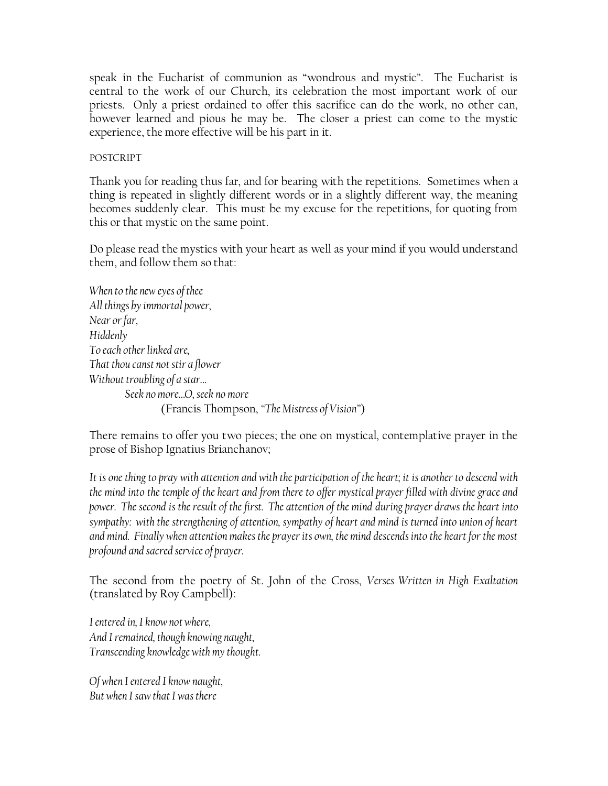speak in the Eucharist of communion as "wondrous and mystic". The Eucharist is central to the work of our Church, its celebration the most important work of our priests. Only a priest ordained to offer this sacrifice can do the work, no other can, however learned and pious he may be. The closer a priest can come to the mystic experience, the more effective will be his part in it.

POSTCRIPT

Thank you for reading thus far, and for bearing with the repetitions. Sometimes when a thing is repeated in slightly different words or in a slightly different way, the meaning becomes suddenly clear. This must be my excuse for the repetitions, for quoting from this or that mystic on the same point.

Do please read the mystics with your heart as well as your mind if you would understand them, and follow them so that:

*When to the new eyes of thee All things by immortal power, Near or far, Hiddenly To each other linked are, That thou canst not stir a flower Without troubling of a star… Seek no more…O, seek no more* (Francis Thompson, *"The Mistress of Vision"*)

There remains to offer you two pieces; the one on mystical, contemplative prayer in the prose of Bishop Ignatius Brianchanov;

*It is one thing to pray with attention and with the participation of the heart; it is another to descend with the mind into the temple of the heart and from there to offer mystical prayer filled with divine grace and power. The second is the result of the first. The attention of the mind during prayer draws the heart into sympathy: with the strengthening of attention, sympathy of heart and mind is turned into union of heart and mind. Finally when attention makes the prayer its own, the mind descends into the heart for the most profound and sacred service of prayer.*

The second from the poetry of St. John of the Cross, *Verses Written in High Exaltation*  (translated by Roy Campbell):

*I entered in, I know not where, And I remained, though knowing naught, Transcending knowledge with my thought.*

*Of when I entered I know naught, But when I saw that I was there*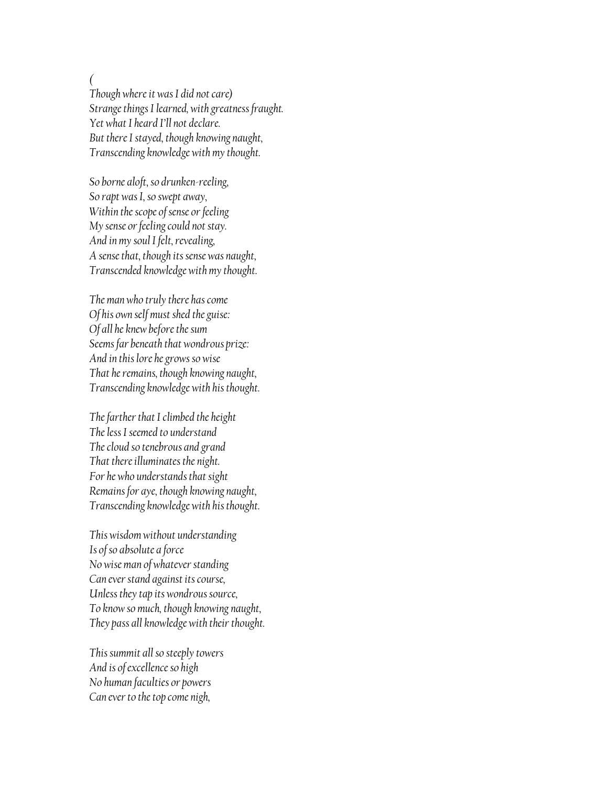*(*

*Though where it was I did not care) Strange things I learned, with greatness fraught. Yet what I heard I"ll not declare. But there I stayed, though knowing naught, Transcending knowledge with my thought.*

*So borne aloft, so drunken-reeling, So rapt was I, so swept away, Within the scope of sense or feeling My sense or feeling could not stay. And in my soul I felt, revealing, A sense that, though its sense was naught, Transcended knowledge with my thought.*

*The man who truly there has come Of his own self must shed the guise: Of all he knew before the sum Seems far beneath that wondrous prize: And in this lore he grows so wise That he remains, though knowing naught, Transcending knowledge with his thought.*

*The farther that I climbed the height The less I seemed to understand The cloud so tenebrous and grand That there illuminates the night. For he who understands that sight Remains for aye, though knowing naught, Transcending knowledge with his thought.*

*This wisdom without understanding Is of so absolute a force No wise man of whatever standing Can ever stand against its course, Unless they tap its wondrous source, To know so much, though knowing naught, They pass all knowledge with their thought.*

*This summit all so steeply towers And is of excellence so high No human faculties or powers Can ever to the top come nigh,*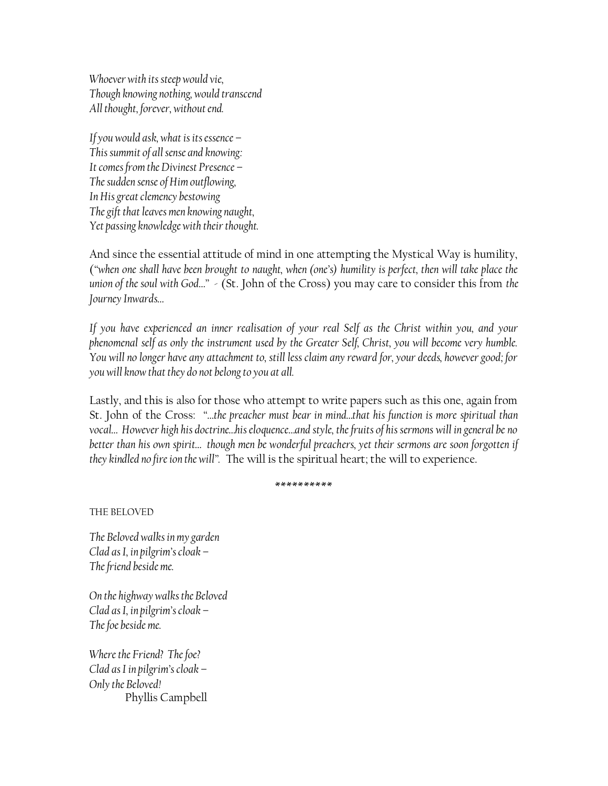*Whoever with its steep would vie, Though knowing nothing, would transcend All thought, forever, without end.*

*If you would ask, what is its essence – This summit of all sense and knowing: It comes from the Divinest Presence – The sudden sense of Him outflowing, In His great clemency bestowing The gift that leaves men knowing naught, Yet passing knowledge with their thought.*

And since the essential attitude of mind in one attempting the Mystical Way is humility, (*"when one shall have been brought to naught, when (one"s) humility is perfect, then will take place the union of the soul with God…"* - (St. John of the Cross) you may care to consider this from *the Journey Inwards…*

*If you have experienced an inner realisation of your real Self as the Christ within you, and your phenomenal self as only the instrument used by the Greater Self, Christ, you will become very humble. You will no longer have any attachment to, still less claim any reward for, your deeds, however good; for you will know that they do not belong to you at all.*

Lastly, and this is also for those who attempt to write papers such as this one, again from St. John of the Cross: *"…the preacher must bear in mind…that his function is more spiritual than vocal… However high his doctrine…his eloquence…and style, the fruits of his sermons will in general be no better than his own spirit… though men be wonderful preachers, yet their sermons are soon forgotten if they kindled no fire ion the will".* The will is the spiritual heart; the will to experience.

\*\*\*\*\*\*\*\*\*\*

THE BELOVED

*The Beloved walks in my garden Clad as I, in pilgrim"s cloak – The friend beside me.*

*On the highway walks the Beloved Clad as I, in pilgrim"s cloak – The foe beside me.*

*Where the Friend? The foe? Clad as I in pilgrim"s cloak – Only the Beloved!* Phyllis Campbell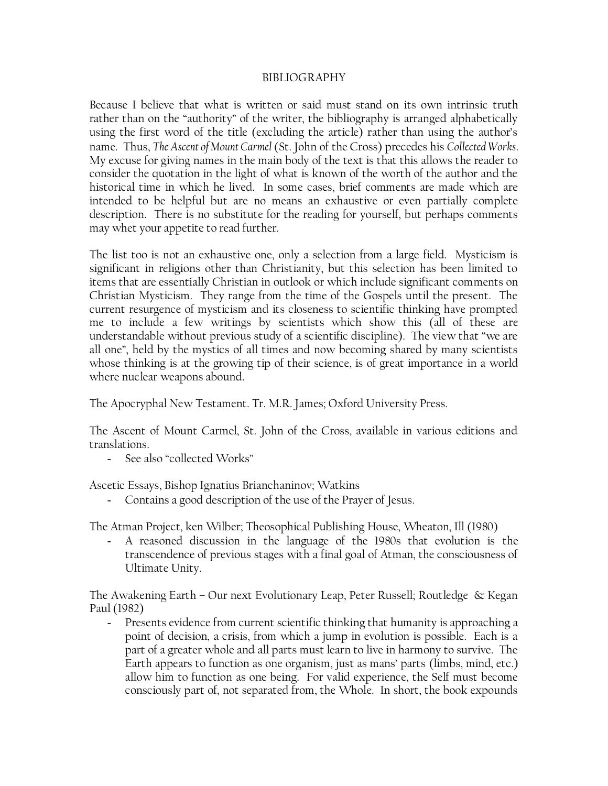#### BIBLIOGRAPHY

Because I believe that what is written or said must stand on its own intrinsic truth rather than on the "authority" of the writer, the bibliography is arranged alphabetically using the first word of the title (excluding the article) rather than using the author's name. Thus, *The Ascent of Mount Carmel* (St. John of the Cross) precedes his *Collected Works*. My excuse for giving names in the main body of the text is that this allows the reader to consider the quotation in the light of what is known of the worth of the author and the historical time in which he lived. In some cases, brief comments are made which are intended to be helpful but are no means an exhaustive or even partially complete description. There is no substitute for the reading for yourself, but perhaps comments may whet your appetite to read further.

The list too is not an exhaustive one, only a selection from a large field. Mysticism is significant in religions other than Christianity, but this selection has been limited to items that are essentially Christian in outlook or which include significant comments on Christian Mysticism. They range from the time of the Gospels until the present. The current resurgence of mysticism and its closeness to scientific thinking have prompted me to include a few writings by scientists which show this (all of these are understandable without previous study of a scientific discipline). The view that "we are all one", held by the mystics of all times and now becoming shared by many scientists whose thinking is at the growing tip of their science, is of great importance in a world where nuclear weapons abound.

The Apocryphal New Testament. Tr. M.R. James; Oxford University Press.

The Ascent of Mount Carmel, St. John of the Cross, available in various editions and translations.

- See also "collected Works"

Ascetic Essays, Bishop Ignatius Brianchaninov; Watkins

- Contains a good description of the use of the Prayer of Jesus.

The Atman Project, ken Wilber; Theosophical Publishing House, Wheaton, Ill (1980)

- A reasoned discussion in the language of the 1980s that evolution is the transcendence of previous stages with a final goal of Atman, the consciousness of Ultimate Unity.

The Awakening Earth – Our next Evolutionary Leap, Peter Russell; Routledge & Kegan Paul (1982)

- Presents evidence from current scientific thinking that humanity is approaching a point of decision, a crisis, from which a jump in evolution is possible. Each is a part of a greater whole and all parts must learn to live in harmony to survive. The Earth appears to function as one organism, just as mans' parts (limbs, mind, etc.) allow him to function as one being. For valid experience, the Self must become consciously part of, not separated from, the Whole. In short, the book expounds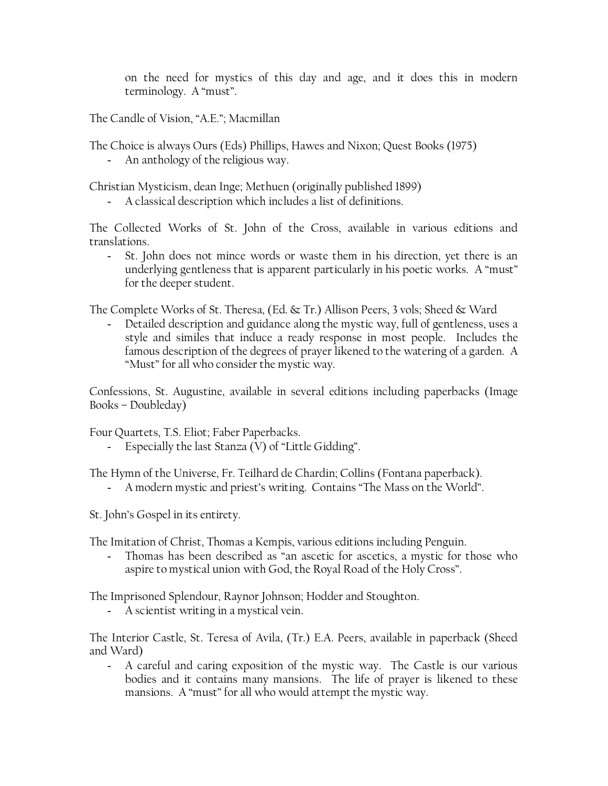on the need for mystics of this day and age, and it does this in modern terminology. A "must".

The Candle of Vision, "A.E."; Macmillan

The Choice is always Ours (Eds) Phillips, Hawes and Nixon; Quest Books (1975)

- An anthology of the religious way.

Christian Mysticism, dean Inge; Methuen (originally published 1899)

- A classical description which includes a list of definitions.

The Collected Works of St. John of the Cross, available in various editions and translations.

- St. John does not mince words or waste them in his direction, yet there is an underlying gentleness that is apparent particularly in his poetic works. A "must" for the deeper student.

The Complete Works of St. Theresa, (Ed. & Tr.) Allison Peers, 3 vols; Sheed & Ward

- Detailed description and guidance along the mystic way, full of gentleness, uses a style and similes that induce a ready response in most people. Includes the famous description of the degrees of prayer likened to the watering of a garden. A "Must" for all who consider the mystic way.

Confessions, St. Augustine, available in several editions including paperbacks (Image Books – Doubleday)

Four Quartets, T.S. Eliot; Faber Paperbacks.

- Especially the last Stanza (V) of "Little Gidding".

The Hymn of the Universe, Fr. Teilhard de Chardin; Collins (Fontana paperback).

- A modern mystic and priest's writing. Contains "The Mass on the World".

St. John's Gospel in its entirety.

The Imitation of Christ, Thomas a Kempis, various editions including Penguin.

Thomas has been described as "an ascetic for ascetics, a mystic for those who aspire to mystical union with God, the Royal Road of the Holy Cross".

The Imprisoned Splendour, Raynor Johnson; Hodder and Stoughton.

- A scientist writing in a mystical vein.

The Interior Castle, St. Teresa of Avila, (Tr.) E.A. Peers, available in paperback (Sheed and Ward)

- A careful and caring exposition of the mystic way. The Castle is our various bodies and it contains many mansions. The life of prayer is likened to these mansions. A "must" for all who would attempt the mystic way.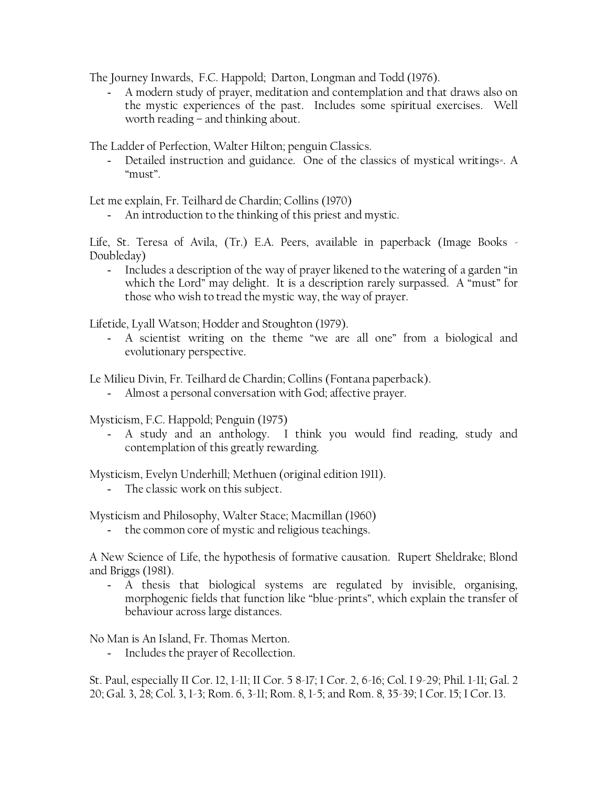The Journey Inwards, F.C. Happold; Darton, Longman and Todd (1976).

- A modern study of prayer, meditation and contemplation and that draws also on the mystic experiences of the past. Includes some spiritual exercises. Well worth reading – and thinking about.

The Ladder of Perfection, Walter Hilton; penguin Classics.

- Detailed instruction and guidance. One of the classics of mystical writings=. A "must".

Let me explain, Fr. Teilhard de Chardin; Collins (1970)

- An introduction to the thinking of this priest and mystic.

Life, St. Teresa of Avila, (Tr.) E.A. Peers, available in paperback (Image Books - Doubleday)

- Includes a description of the way of prayer likened to the watering of a garden "in which the Lord" may delight. It is a description rarely surpassed. A "must" for those who wish to tread the mystic way, the way of prayer.

Lifetide, Lyall Watson; Hodder and Stoughton (1979).

- A scientist writing on the theme "we are all one" from a biological and evolutionary perspective.

Le Milieu Divin, Fr. Teilhard de Chardin; Collins (Fontana paperback).

- Almost a personal conversation with God; affective prayer.

Mysticism, F.C. Happold; Penguin (1975)

- A study and an anthology. I think you would find reading, study and contemplation of this greatly rewarding.

Mysticism, Evelyn Underhill; Methuen (original edition 1911).

- The classic work on this subject.

Mysticism and Philosophy, Walter Stace; Macmillan (1960)

the common core of mystic and religious teachings.

A New Science of Life, the hypothesis of formative causation. Rupert Sheldrake; Blond and Briggs (1981).

A thesis that biological systems are regulated by invisible, organising, morphogenic fields that function like "blue-prints", which explain the transfer of behaviour across large distances.

No Man is An Island, Fr. Thomas Merton.

- Includes the prayer of Recollection.

St. Paul, especially II Cor. 12, 1-11; II Cor. 5 8-17; I Cor. 2, 6-16; Col. I 9-29; Phil. 1-11; Gal. 2 20; Gal. 3, 28; Col. 3, 1-3; Rom. 6, 3-11; Rom. 8, 1-5; and Rom. 8, 35-39; I Cor. 15; I Cor. 13.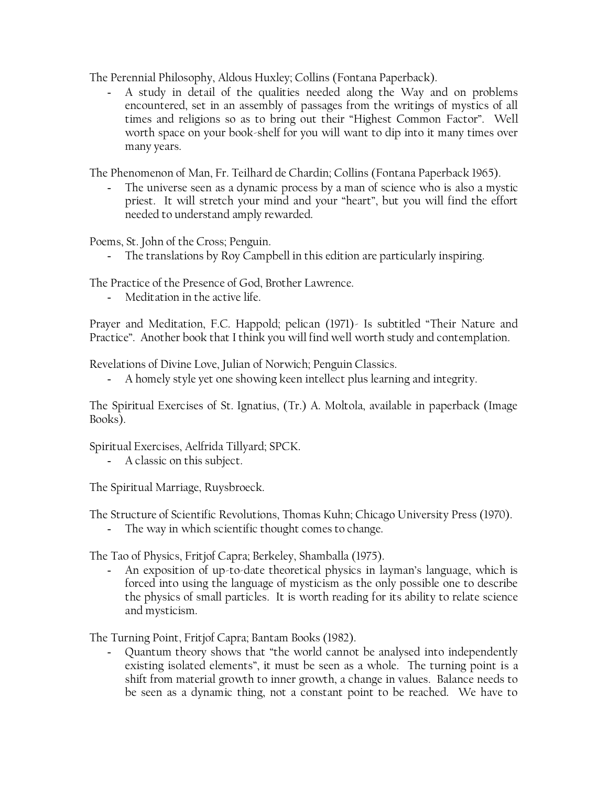The Perennial Philosophy, Aldous Huxley; Collins (Fontana Paperback).

- A study in detail of the qualities needed along the Way and on problems encountered, set in an assembly of passages from the writings of mystics of all times and religions so as to bring out their "Highest Common Factor". Well worth space on your book-shelf for you will want to dip into it many times over many years.

The Phenomenon of Man, Fr. Teilhard de Chardin; Collins (Fontana Paperback 1965).

The universe seen as a dynamic process by a man of science who is also a mystic priest. It will stretch your mind and your "heart", but you will find the effort needed to understand amply rewarded.

Poems, St. John of the Cross; Penguin.

- The translations by Roy Campbell in this edition are particularly inspiring.

The Practice of the Presence of God, Brother Lawrence.

- Meditation in the active life.

Prayer and Meditation, F.C. Happold; pelican (1971)- Is subtitled "Their Nature and Practice". Another book that I think you will find well worth study and contemplation.

Revelations of Divine Love, Julian of Norwich; Penguin Classics.

- A homely style yet one showing keen intellect plus learning and integrity.

The Spiritual Exercises of St. Ignatius, (Tr.) A. Moltola, available in paperback (Image Books).

Spiritual Exercises, Aelfrida Tillyard; SPCK.

- A classic on this subject.

The Spiritual Marriage, Ruysbroeck.

The Structure of Scientific Revolutions, Thomas Kuhn; Chicago University Press (1970).

- The way in which scientific thought comes to change.

The Tao of Physics, Fritjof Capra; Berkeley, Shamballa (1975).

- An exposition of up-to-date theoretical physics in layman's language, which is forced into using the language of mysticism as the only possible one to describe the physics of small particles. It is worth reading for its ability to relate science and mysticism.

The Turning Point, Fritjof Capra; Bantam Books (1982).

- Quantum theory shows that "the world cannot be analysed into independently existing isolated elements", it must be seen as a whole. The turning point is a shift from material growth to inner growth, a change in values. Balance needs to be seen as a dynamic thing, not a constant point to be reached. We have to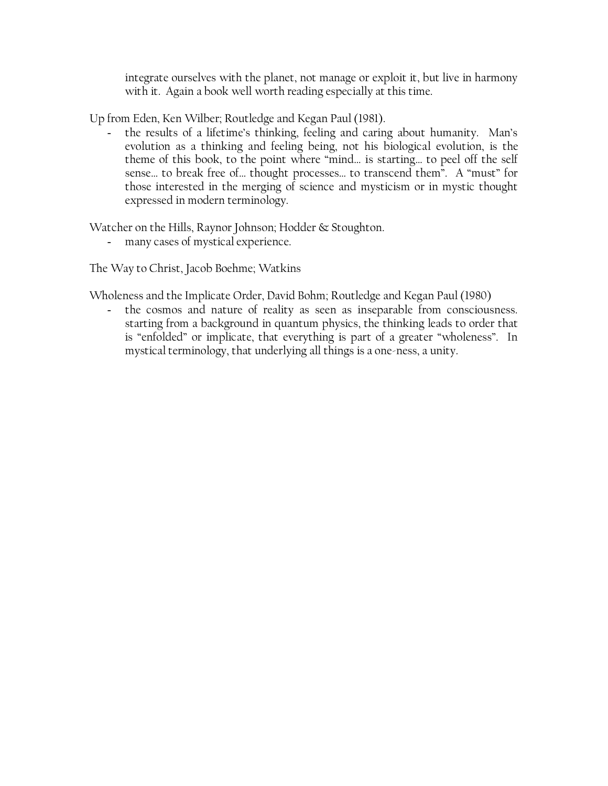integrate ourselves with the planet, not manage or exploit it, but live in harmony with it. Again a book well worth reading especially at this time.

Up from Eden, Ken Wilber; Routledge and Kegan Paul (1981).

the results of a lifetime's thinking, feeling and caring about humanity. Man's evolution as a thinking and feeling being, not his biological evolution, is the theme of this book, to the point where "mind… is starting… to peel off the self sense… to break free of… thought processes… to transcend them". A "must" for those interested in the merging of science and mysticism or in mystic thought expressed in modern terminology.

Watcher on the Hills, Raynor Johnson; Hodder & Stoughton.

- many cases of mystical experience.

The Way to Christ, Jacob Boehme; Watkins

Wholeness and the Implicate Order, David Bohm; Routledge and Kegan Paul (1980)

- the cosmos and nature of reality as seen as inseparable from consciousness. starting from a background in quantum physics, the thinking leads to order that is "enfolded" or implicate, that everything is part of a greater "wholeness". In mystical terminology, that underlying all things is a one-ness, a unity.